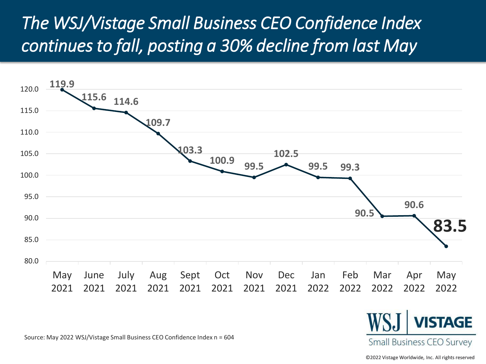## *The WSJ/Vistage Small Business CEO Confidence Index continues to fall, posting a 30% decline from last May*



Source: May 2022 WSJ/Vistage Small Business CEO Confidence Index n = 604

©2022 Vistage Worldwide, Inc. All rights reserved 2022

**Small Business CEO Survey**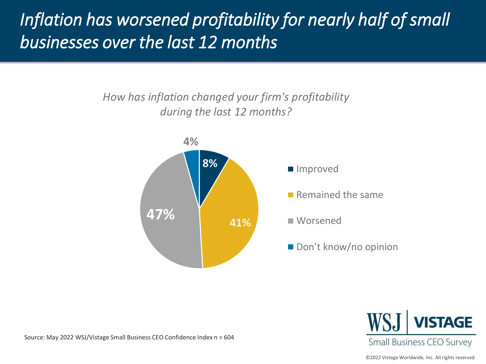# *Inflation has worsened profitability for nearly half of small businesses over the last 12 months*

*How has inflation changed your firm's profitability during the last 12 months?*



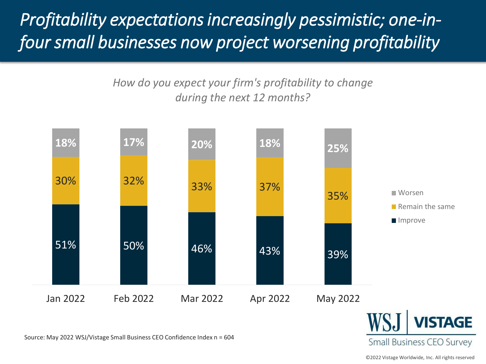*Profitability expectations increasingly pessimistic; one-infour small businesses now project worsening profitability*

> *How do you expect your firm's profitability to change during the next 12 months?*



Source: May 2022 WSJ/Vistage Small Business CEO Confidence Index n = 604

©2022 Vistage Worldwide, Inc. All rights reserved

**Small Business CEO Survey**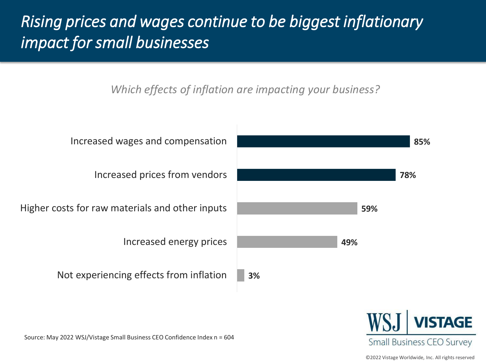#### *Rising prices and wages continue to be biggest inflationary impact for small businesses*

*Which effects of inflation are impacting your business?*





Source: May 2022 WSJ/Vistage Small Business CEO Confidence Index n = 604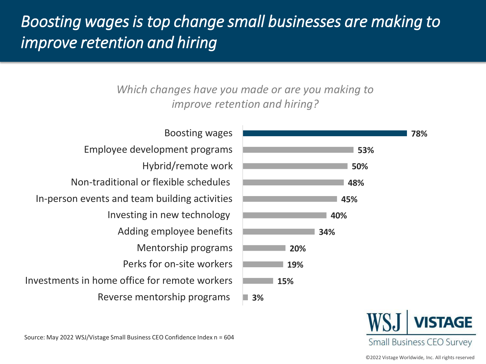#### *Boosting wages is top change small businesses are making to improve retention and hiring*

*Which changes have you made or are you making to improve retention and hiring?*





Reverse mentorship programs Investments in home office for remote workers Perks for on-site workers Mentorship programs Adding employee benefits Investing in new technology In-person events and team building activities Non-traditional or flexible schedules Hybrid/remote work Employee development programs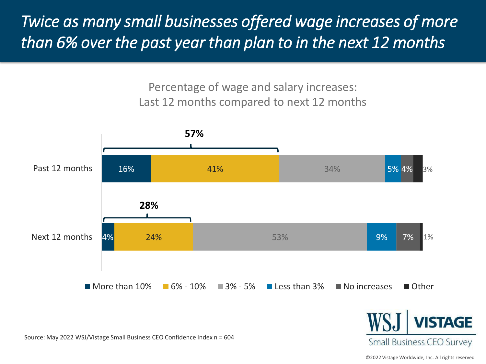*Twice as many small businesses offered wage increases of more than 6% over the past year than plan to in the next 12 months*

> Percentage of wage and salary increases: Last 12 months compared to next 12 months



Source: May 2022 WSJ/Vistage Small Business CEO Confidence Index n = 604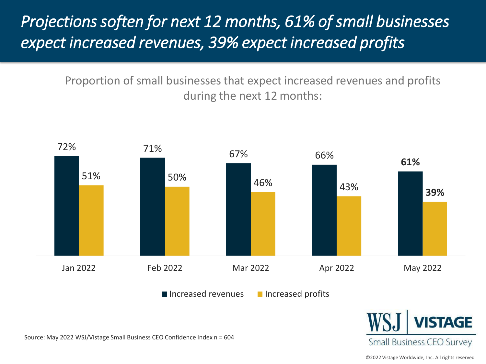#### *Projections soften for next 12 months, 61% of small businesses expect increased revenues, 39% expect increased profits*

Proportion of small businesses that expect increased revenues and profits during the next 12 months:





Source: May 2022 WSJ/Vistage Small Business CEO Confidence Index n = 604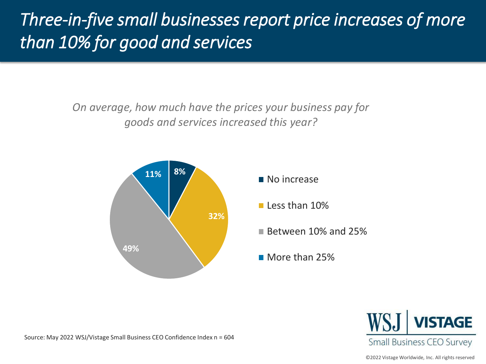# *Three-in-five small businesses report price increases of more than 10% for good and services*

*On average, how much have the prices your business pay for goods and services increased this year?*



- No increase
- $\blacksquare$  Less than 10%
- Between 10% and 25%
- **More than 25%**

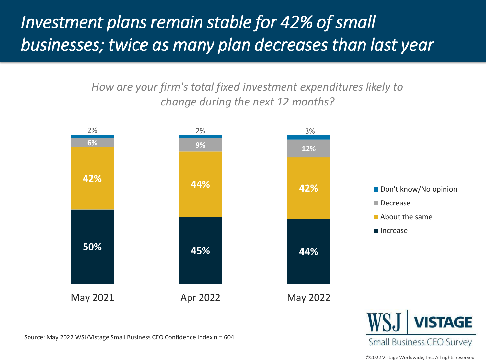# *Investment plans remain stable for 42% of small businesses; twice as many plan decreases than last year*

*How are your firm's total fixed investment expenditures likely to change during the next 12 months?* 



Source: May 2022 WSJ/Vistage Small Business CEO Confidence Index n = 604

©2022 Vistage Worldwide, Inc. All rights reserved

**Small Business CEO Survey**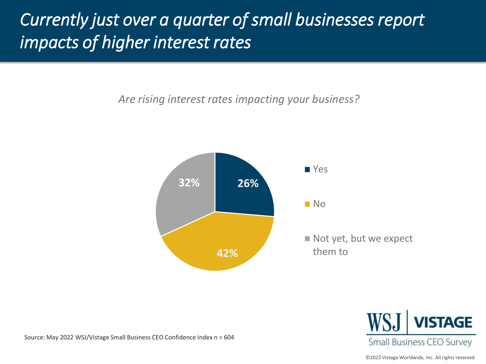## *Currently just over a quarter of small businesses report impacts of higher interest rates*

*Are rising interest rates impacting your business?*





Source: May 2022 WSJ/Vistage Small Business CEO Confidence Index n = 604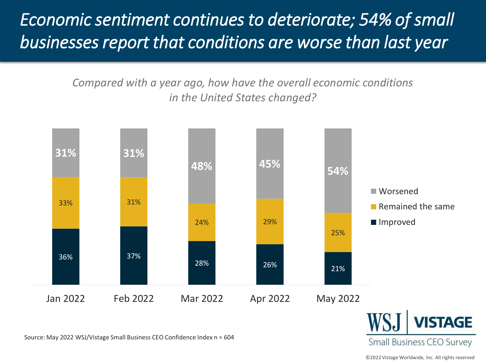*Economic sentiment continues to deteriorate; 54% of small businesses report that conditions are worse than last year*

> *Compared with a year ago, how have the overall economic conditions in the United States changed?*



Source: May 2022 WSJ/Vistage Small Business CEO Confidence Index n = 604